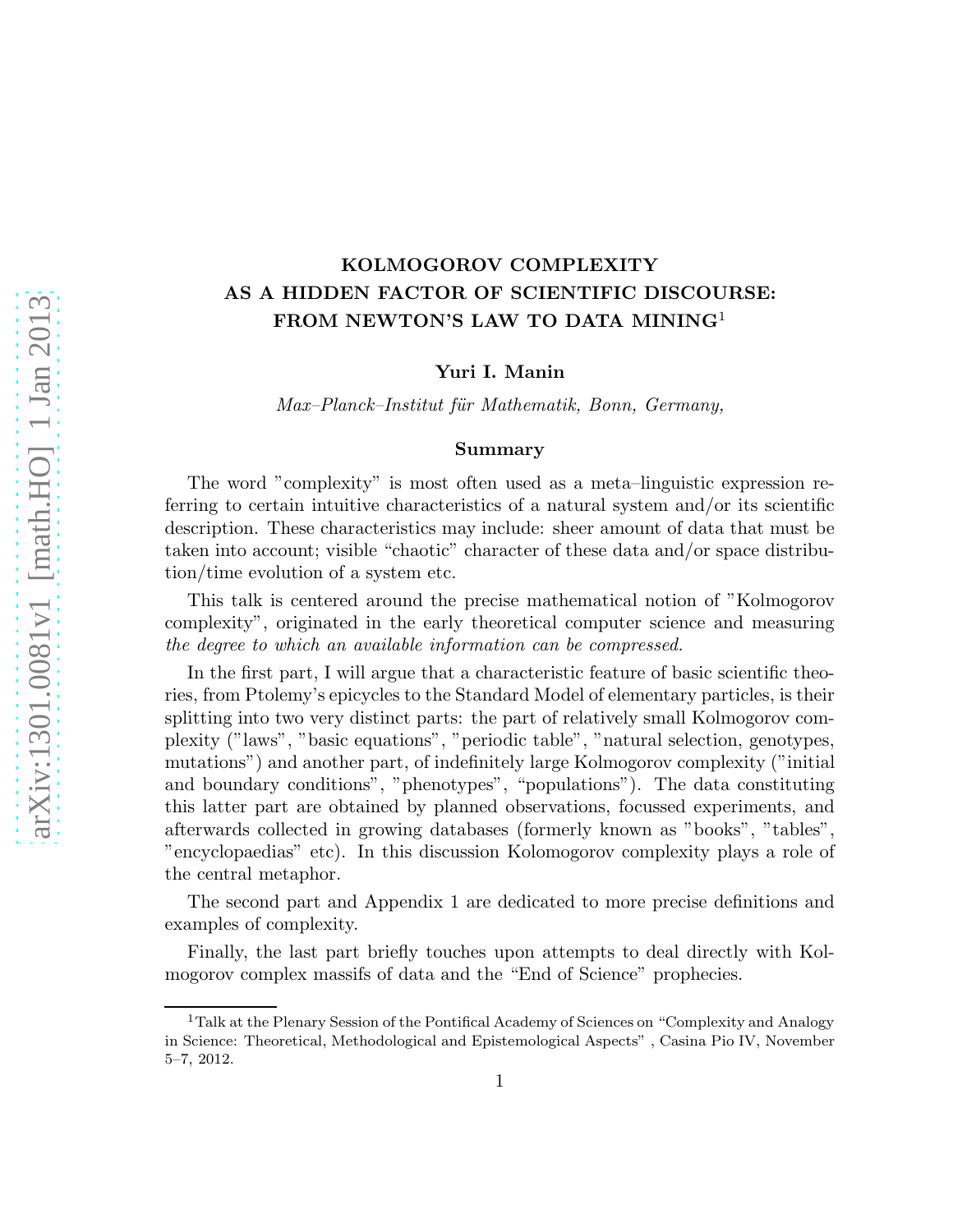# KOLMOGOROV COMPLEXITY AS A HIDDEN FACTOR OF SCIENTIFIC DISCOURSE: FROM NEWTON'S LAW TO DATA MINING<sup>1</sup>

Yuri I. Manin

Max–Planck–Institut für Mathematik, Bonn, Germany,

#### Summary

The word "complexity" is most often used as a meta–linguistic expression referring to certain intuitive characteristics of a natural system and/or its scientific description. These characteristics may include: sheer amount of data that must be taken into account; visible "chaotic" character of these data and/or space distribution/time evolution of a system etc.

This talk is centered around the precise mathematical notion of "Kolmogorov complexity", originated in the early theoretical computer science and measuring the degree to which an available information can be compressed.

In the first part, I will argue that a characteristic feature of basic scientific theories, from Ptolemy's epicycles to the Standard Model of elementary particles, is their splitting into two very distinct parts: the part of relatively small Kolmogorov complexity ("laws", "basic equations", "periodic table", "natural selection, genotypes, mutations") and another part, of indefinitely large Kolmogorov complexity ("initial and boundary conditions", "phenotypes", "populations"). The data constituting this latter part are obtained by planned observations, focussed experiments, and afterwards collected in growing databases (formerly known as "books", "tables", "encyclopaedias" etc). In this discussion Kolomogorov complexity plays a role of the central metaphor.

The second part and Appendix 1 are dedicated to more precise definitions and examples of complexity.

Finally, the last part briefly touches upon attempts to deal directly with Kolmogorov complex massifs of data and the "End of Science" prophecies.

<sup>&</sup>lt;sup>1</sup>Talk at the Plenary Session of the Pontifical Academy of Sciences on "Complexity and Analogy" in Science: Theoretical, Methodological and Epistemological Aspects" , Casina Pio IV, November 5–7, 2012.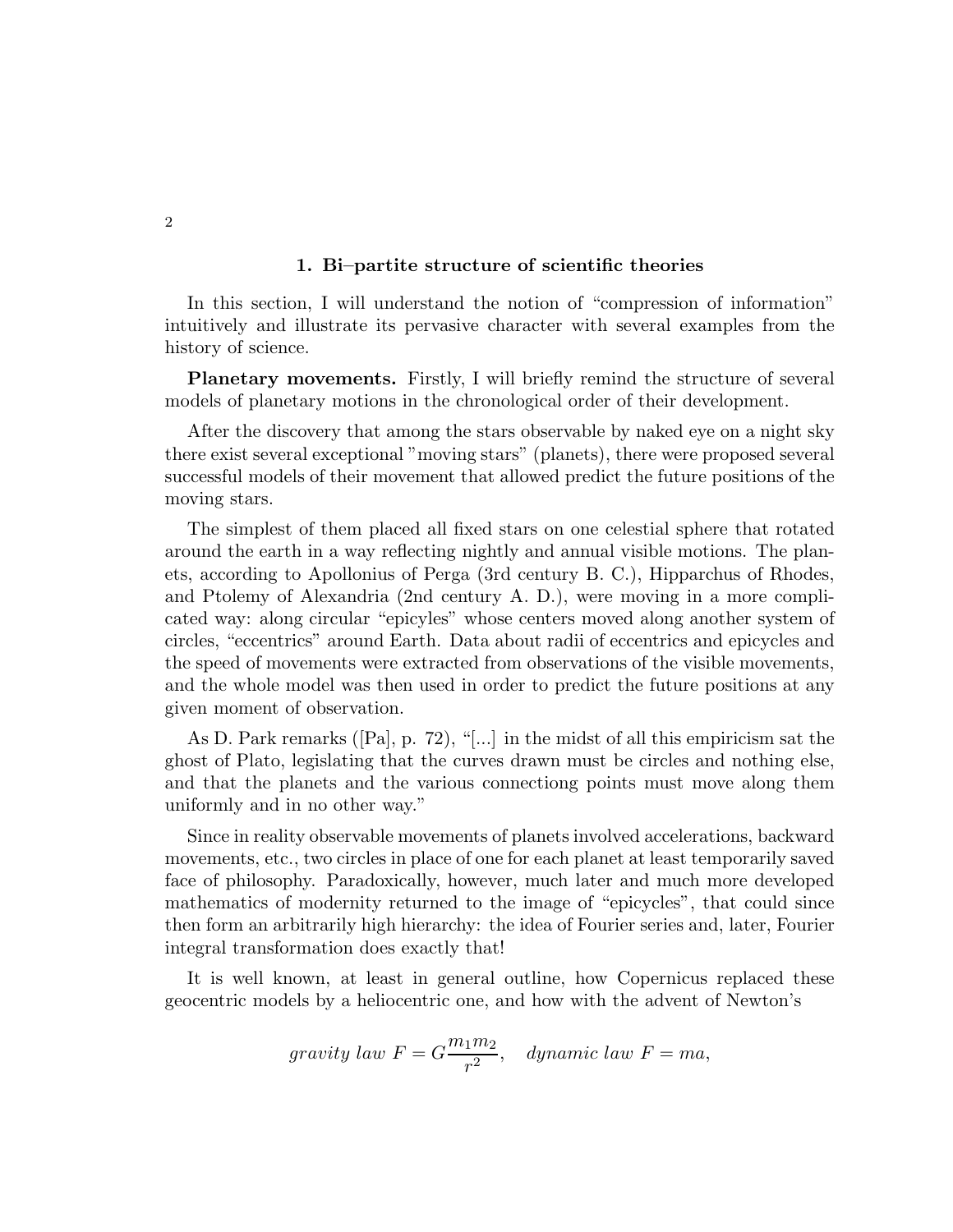### 1. Bi–partite structure of scientific theories

In this section, I will understand the notion of "compression of information" intuitively and illustrate its pervasive character with several examples from the history of science.

Planetary movements. Firstly, I will briefly remind the structure of several models of planetary motions in the chronological order of their development.

After the discovery that among the stars observable by naked eye on a night sky there exist several exceptional "moving stars" (planets), there were proposed several successful models of their movement that allowed predict the future positions of the moving stars.

The simplest of them placed all fixed stars on one celestial sphere that rotated around the earth in a way reflecting nightly and annual visible motions. The planets, according to Apollonius of Perga (3rd century B. C.), Hipparchus of Rhodes, and Ptolemy of Alexandria (2nd century A. D.), were moving in a more complicated way: along circular "epicyles" whose centers moved along another system of circles, "eccentrics" around Earth. Data about radii of eccentrics and epicycles and the speed of movements were extracted from observations of the visible movements, and the whole model was then used in order to predict the future positions at any given moment of observation.

As D. Park remarks ([Pa], p. 72), "[...] in the midst of all this empiricism sat the ghost of Plato, legislating that the curves drawn must be circles and nothing else, and that the planets and the various connectiong points must move along them uniformly and in no other way."

Since in reality observable movements of planets involved accelerations, backward movements, etc., two circles in place of one for each planet at least temporarily saved face of philosophy. Paradoxically, however, much later and much more developed mathematics of modernity returned to the image of "epicycles", that could since then form an arbitrarily high hierarchy: the idea of Fourier series and, later, Fourier integral transformation does exactly that!

It is well known, at least in general outline, how Copernicus replaced these geocentric models by a heliocentric one, and how with the advent of Newton's

$$
gravity\ law\ F=G\frac{m_1m_2}{r^2},\quad dynamic\ law\ F=m a,
$$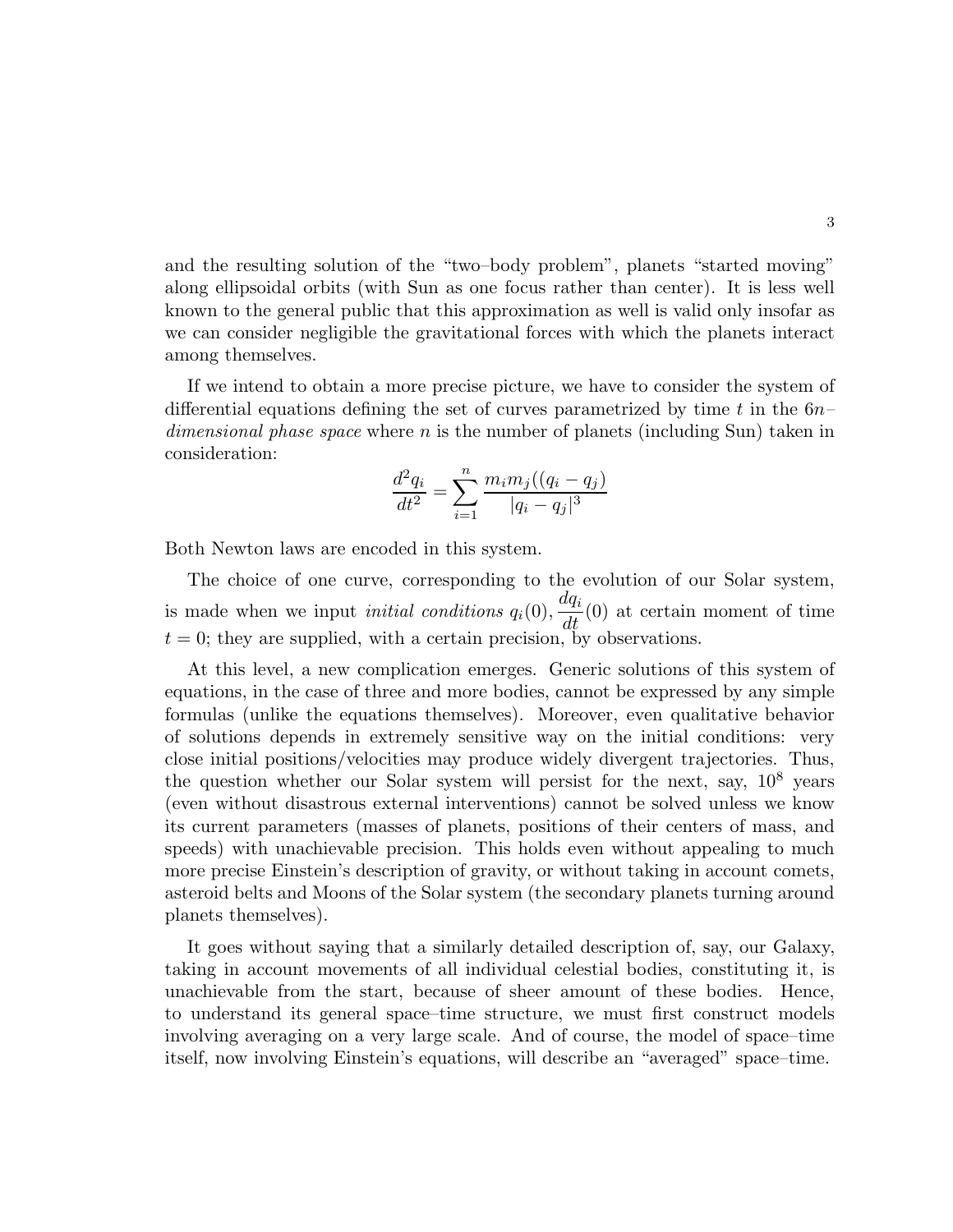and the resulting solution of the "two–body problem", planets "started moving" along ellipsoidal orbits (with Sun as one focus rather than center). It is less well known to the general public that this approximation as well is valid only insofar as we can consider negligible the gravitational forces with which the planets interact among themselves.

If we intend to obtain a more precise picture, we have to consider the system of differential equations defining the set of curves parametrized by time t in the  $6n$ dimensional phase space where n is the number of planets (including Sun) taken in consideration:

$$
\frac{d^2q_i}{dt^2} = \sum_{i=1}^n \frac{m_i m_j ((q_i - q_j)}{|q_i - q_j|^3}
$$

Both Newton laws are encoded in this system.

The choice of one curve, corresponding to the evolution of our Solar system, is made when we input *initial conditions*  $q_i(0)$ ,  $dq_i$  $\frac{d\mathbf{u}}{dt}(0)$  at certain moment of time  $t = 0$ ; they are supplied, with a certain precision, by observations.

At this level, a new complication emerges. Generic solutions of this system of equations, in the case of three and more bodies, cannot be expressed by any simple formulas (unlike the equations themselves). Moreover, even qualitative behavior of solutions depends in extremely sensitive way on the initial conditions: very close initial positions/velocities may produce widely divergent trajectories. Thus, the question whether our Solar system will persist for the next, say,  $10^8$  years (even without disastrous external interventions) cannot be solved unless we know its current parameters (masses of planets, positions of their centers of mass, and speeds) with unachievable precision. This holds even without appealing to much more precise Einstein's description of gravity, or without taking in account comets, asteroid belts and Moons of the Solar system (the secondary planets turning around planets themselves).

It goes without saying that a similarly detailed description of, say, our Galaxy, taking in account movements of all individual celestial bodies, constituting it, is unachievable from the start, because of sheer amount of these bodies. Hence, to understand its general space–time structure, we must first construct models involving averaging on a very large scale. And of course, the model of space–time itself, now involving Einstein's equations, will describe an "averaged" space–time.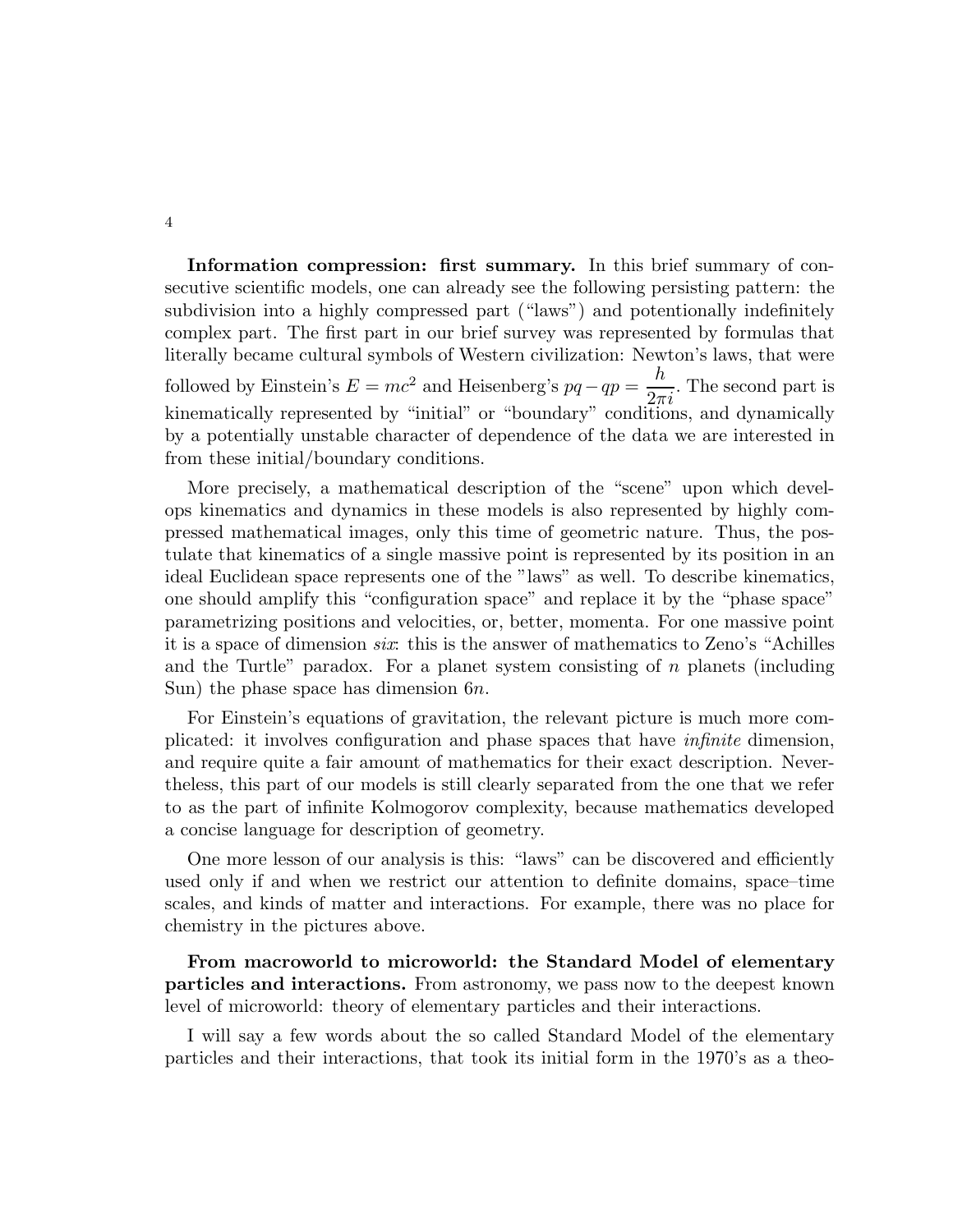Information compression: first summary. In this brief summary of consecutive scientific models, one can already see the following persisting pattern: the subdivision into a highly compressed part ("laws") and potentionally indefinitely complex part. The first part in our brief survey was represented by formulas that literally became cultural symbols of Western civilization: Newton's laws, that were followed by Einstein's  $E = mc^2$  and Heisenberg's  $pq - qp = \frac{h}{2\pi}$  $2\pi i$ . The second part is kinematically represented by "initial" or "boundary" conditions, and dynamically by a potentially unstable character of dependence of the data we are interested in from these initial/boundary conditions.

More precisely, a mathematical description of the "scene" upon which develops kinematics and dynamics in these models is also represented by highly compressed mathematical images, only this time of geometric nature. Thus, the postulate that kinematics of a single massive point is represented by its position in an ideal Euclidean space represents one of the "laws" as well. To describe kinematics, one should amplify this "configuration space" and replace it by the "phase space" parametrizing positions and velocities, or, better, momenta. For one massive point it is a space of dimension six: this is the answer of mathematics to Zeno's "Achilles and the Turtle" paradox. For a planet system consisting of  $n$  planets (including Sun) the phase space has dimension 6n.

For Einstein's equations of gravitation, the relevant picture is much more complicated: it involves configuration and phase spaces that have infinite dimension, and require quite a fair amount of mathematics for their exact description. Nevertheless, this part of our models is still clearly separated from the one that we refer to as the part of infinite Kolmogorov complexity, because mathematics developed a concise language for description of geometry.

One more lesson of our analysis is this: "laws" can be discovered and efficiently used only if and when we restrict our attention to definite domains, space–time scales, and kinds of matter and interactions. For example, there was no place for chemistry in the pictures above.

From macroworld to microworld: the Standard Model of elementary particles and interactions. From astronomy, we pass now to the deepest known level of microworld: theory of elementary particles and their interactions.

I will say a few words about the so called Standard Model of the elementary particles and their interactions, that took its initial form in the 1970's as a theo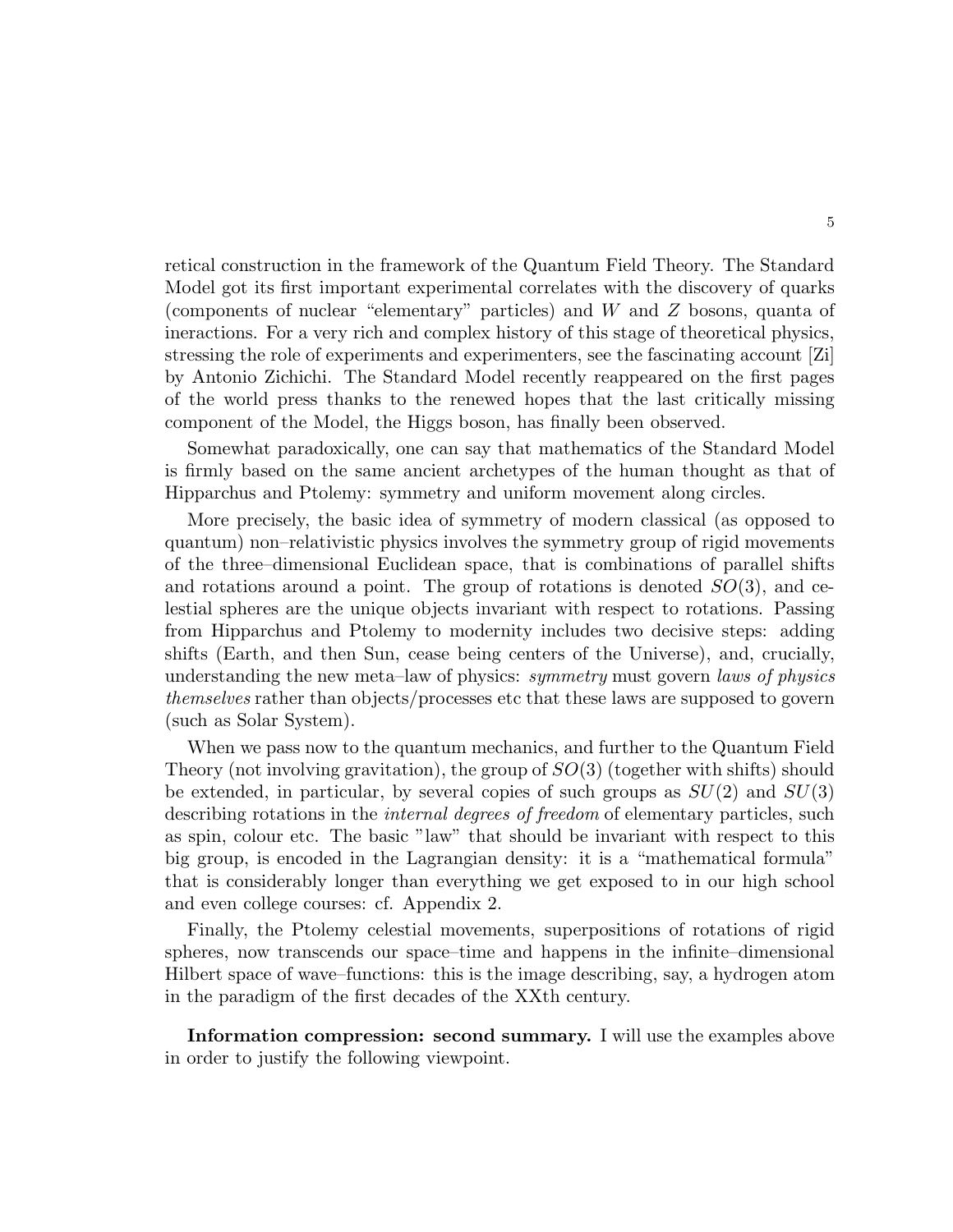retical construction in the framework of the Quantum Field Theory. The Standard Model got its first important experimental correlates with the discovery of quarks (components of nuclear "elementary" particles) and W and Z bosons, quanta of ineractions. For a very rich and complex history of this stage of theoretical physics, stressing the role of experiments and experimenters, see the fascinating account [Zi] by Antonio Zichichi. The Standard Model recently reappeared on the first pages of the world press thanks to the renewed hopes that the last critically missing component of the Model, the Higgs boson, has finally been observed.

Somewhat paradoxically, one can say that mathematics of the Standard Model is firmly based on the same ancient archetypes of the human thought as that of Hipparchus and Ptolemy: symmetry and uniform movement along circles.

More precisely, the basic idea of symmetry of modern classical (as opposed to quantum) non–relativistic physics involves the symmetry group of rigid movements of the three–dimensional Euclidean space, that is combinations of parallel shifts and rotations around a point. The group of rotations is denoted  $SO(3)$ , and celestial spheres are the unique objects invariant with respect to rotations. Passing from Hipparchus and Ptolemy to modernity includes two decisive steps: adding shifts (Earth, and then Sun, cease being centers of the Universe), and, crucially, understanding the new meta–law of physics: symmetry must govern laws of physics themselves rather than objects/processes etc that these laws are supposed to govern (such as Solar System).

When we pass now to the quantum mechanics, and further to the Quantum Field Theory (not involving gravitation), the group of  $SO(3)$  (together with shifts) should be extended, in particular, by several copies of such groups as  $SU(2)$  and  $SU(3)$ describing rotations in the *internal degrees of freedom* of elementary particles, such as spin, colour etc. The basic "law" that should be invariant with respect to this big group, is encoded in the Lagrangian density: it is a "mathematical formula" that is considerably longer than everything we get exposed to in our high school and even college courses: cf. Appendix 2.

Finally, the Ptolemy celestial movements, superpositions of rotations of rigid spheres, now transcends our space–time and happens in the infinite–dimensional Hilbert space of wave–functions: this is the image describing, say, a hydrogen atom in the paradigm of the first decades of the XXth century.

Information compression: second summary. I will use the examples above in order to justify the following viewpoint.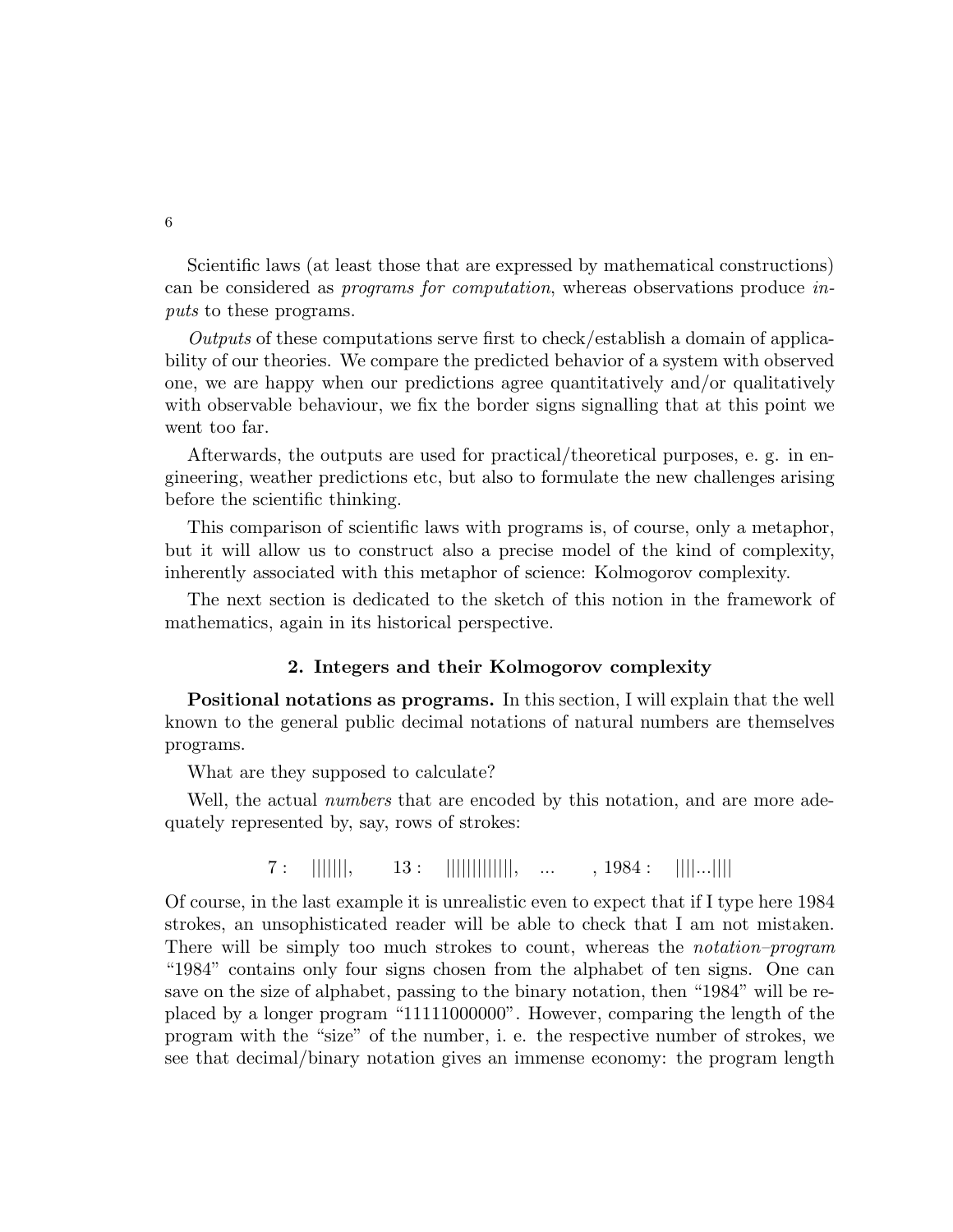Scientific laws (at least those that are expressed by mathematical constructions) can be considered as programs for computation, whereas observations produce inputs to these programs.

Outputs of these computations serve first to check/establish a domain of applicability of our theories. We compare the predicted behavior of a system with observed one, we are happy when our predictions agree quantitatively and/or qualitatively with observable behaviour, we fix the border signs signalling that at this point we went too far.

Afterwards, the outputs are used for practical/theoretical purposes, e. g. in engineering, weather predictions etc, but also to formulate the new challenges arising before the scientific thinking.

This comparison of scientific laws with programs is, of course, only a metaphor, but it will allow us to construct also a precise model of the kind of complexity, inherently associated with this metaphor of science: Kolmogorov complexity.

The next section is dedicated to the sketch of this notion in the framework of mathematics, again in its historical perspective.

### 2. Integers and their Kolmogorov complexity

Positional notations as programs. In this section, I will explain that the well known to the general public decimal notations of natural numbers are themselves programs.

What are they supposed to calculate?

Well, the actual *numbers* that are encoded by this notation, and are more adequately represented by, say, rows of strokes:

 $7:$  |||||||, 13: |||||||||||||, ... , 1984: ||||...|||||

Of course, in the last example it is unrealistic even to expect that if I type here 1984 strokes, an unsophisticated reader will be able to check that I am not mistaken. There will be simply too much strokes to count, whereas the *notation–program* "1984" contains only four signs chosen from the alphabet of ten signs. One can save on the size of alphabet, passing to the binary notation, then "1984" will be replaced by a longer program "11111000000". However, comparing the length of the program with the "size" of the number, i. e. the respective number of strokes, we see that decimal/binary notation gives an immense economy: the program length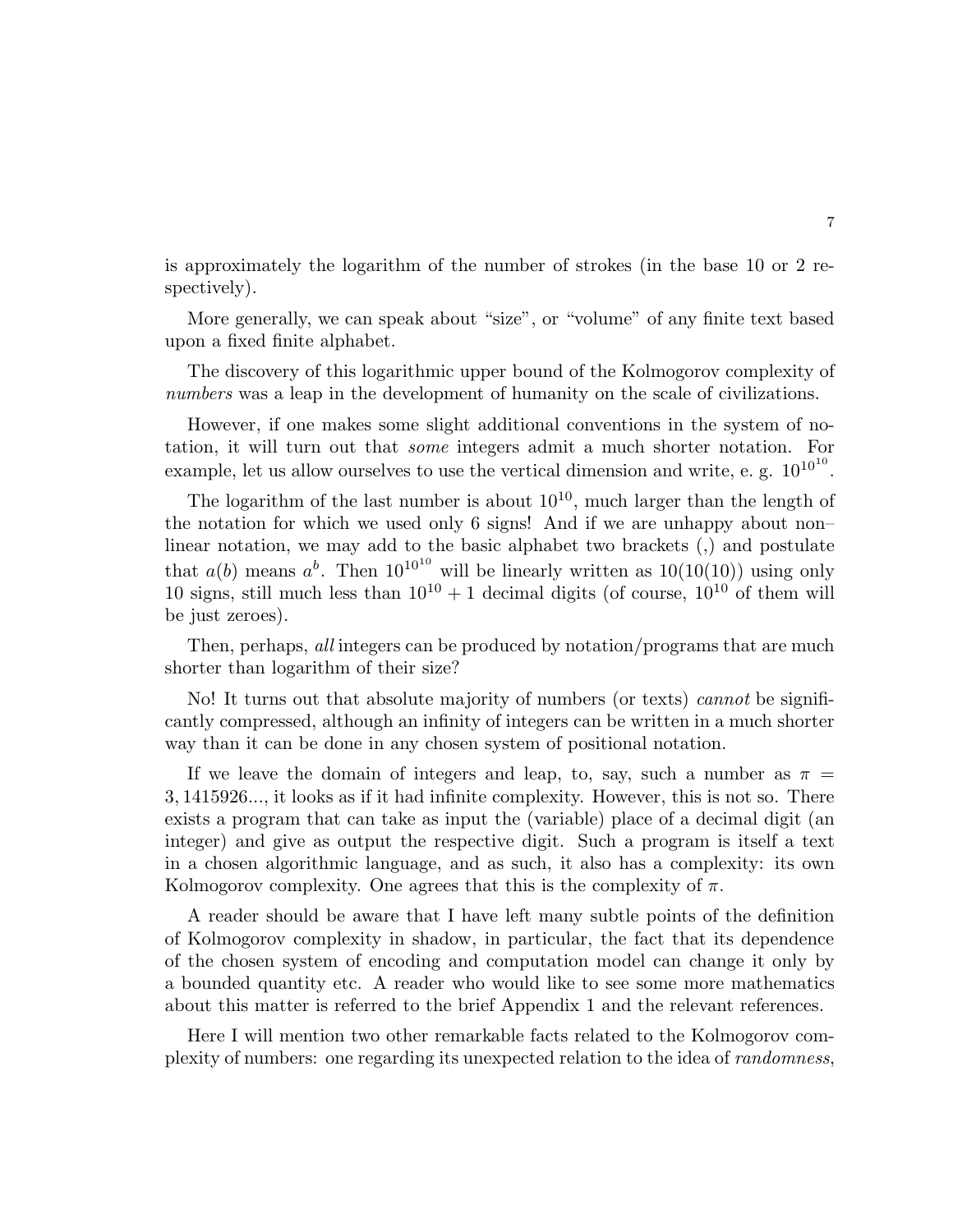is approximately the logarithm of the number of strokes (in the base 10 or 2 respectively).

More generally, we can speak about "size", or "volume" of any finite text based upon a fixed finite alphabet.

The discovery of this logarithmic upper bound of the Kolmogorov complexity of numbers was a leap in the development of humanity on the scale of civilizations.

However, if one makes some slight additional conventions in the system of notation, it will turn out that some integers admit a much shorter notation. For example, let us allow ourselves to use the vertical dimension and write, e. g.  $10^{10^{10}}$ .

The logarithm of the last number is about  $10^{10}$ , much larger than the length of the notation for which we used only 6 signs! And if we are unhappy about non– linear notation, we may add to the basic alphabet two brackets (,) and postulate that  $a(b)$  means  $a^b$ . Then  $10^{10^{10}}$  will be linearly written as  $10(10(10))$  using only 10 signs, still much less than  $10^{10} + 1$  decimal digits (of course,  $10^{10}$  of them will be just zeroes).

Then, perhaps, all integers can be produced by notation/programs that are much shorter than logarithm of their size?

No! It turns out that absolute majority of numbers (or texts) *cannot* be significantly compressed, although an infinity of integers can be written in a much shorter way than it can be done in any chosen system of positional notation.

If we leave the domain of integers and leap, to, say, such a number as  $\pi =$ 3, 1415926..., it looks as if it had infinite complexity. However, this is not so. There exists a program that can take as input the (variable) place of a decimal digit (an integer) and give as output the respective digit. Such a program is itself a text in a chosen algorithmic language, and as such, it also has a complexity: its own Kolmogorov complexity. One agrees that this is the complexity of  $\pi$ .

A reader should be aware that I have left many subtle points of the definition of Kolmogorov complexity in shadow, in particular, the fact that its dependence of the chosen system of encoding and computation model can change it only by a bounded quantity etc. A reader who would like to see some more mathematics about this matter is referred to the brief Appendix 1 and the relevant references.

Here I will mention two other remarkable facts related to the Kolmogorov complexity of numbers: one regarding its unexpected relation to the idea of randomness,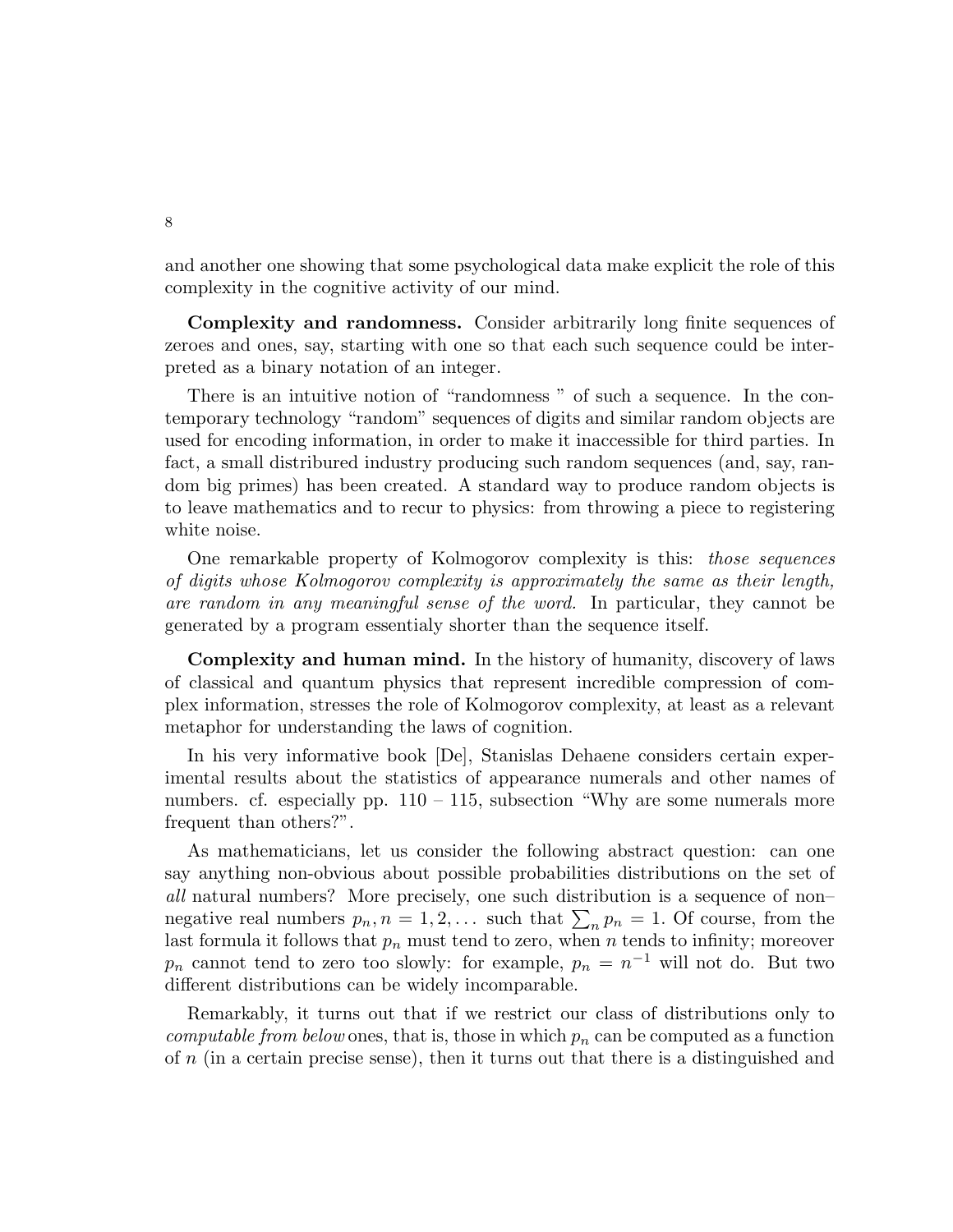and another one showing that some psychological data make explicit the role of this complexity in the cognitive activity of our mind.

Complexity and randomness. Consider arbitrarily long finite sequences of zeroes and ones, say, starting with one so that each such sequence could be interpreted as a binary notation of an integer.

There is an intuitive notion of "randomness " of such a sequence. In the contemporary technology "random" sequences of digits and similar random objects are used for encoding information, in order to make it inaccessible for third parties. In fact, a small distribured industry producing such random sequences (and, say, random big primes) has been created. A standard way to produce random objects is to leave mathematics and to recur to physics: from throwing a piece to registering white noise.

One remarkable property of Kolmogorov complexity is this: those sequences of digits whose Kolmogorov complexity is approximately the same as their length, are random in any meaningful sense of the word. In particular, they cannot be generated by a program essentialy shorter than the sequence itself.

Complexity and human mind. In the history of humanity, discovery of laws of classical and quantum physics that represent incredible compression of complex information, stresses the role of Kolmogorov complexity, at least as a relevant metaphor for understanding the laws of cognition.

In his very informative book [De], Stanislas Dehaene considers certain experimental results about the statistics of appearance numerals and other names of numbers. cf. especially pp.  $110 - 115$ , subsection "Why are some numerals more frequent than others?".

As mathematicians, let us consider the following abstract question: can one say anything non-obvious about possible probabilities distributions on the set of all natural numbers? More precisely, one such distribution is a sequence of non– negative real numbers  $p_n, n = 1, 2, \ldots$  such that  $\sum_n p_n = 1$ . Of course, from the last formula it follows that  $p_n$  must tend to zero, when n tends to infinity; moreover  $p_n$  cannot tend to zero too slowly: for example,  $p_n = n^{-1}$  will not do. But two different distributions can be widely incomparable.

Remarkably, it turns out that if we restrict our class of distributions only to computable from below ones, that is, those in which  $p_n$  can be computed as a function of n (in a certain precise sense), then it turns out that there is a distinguished and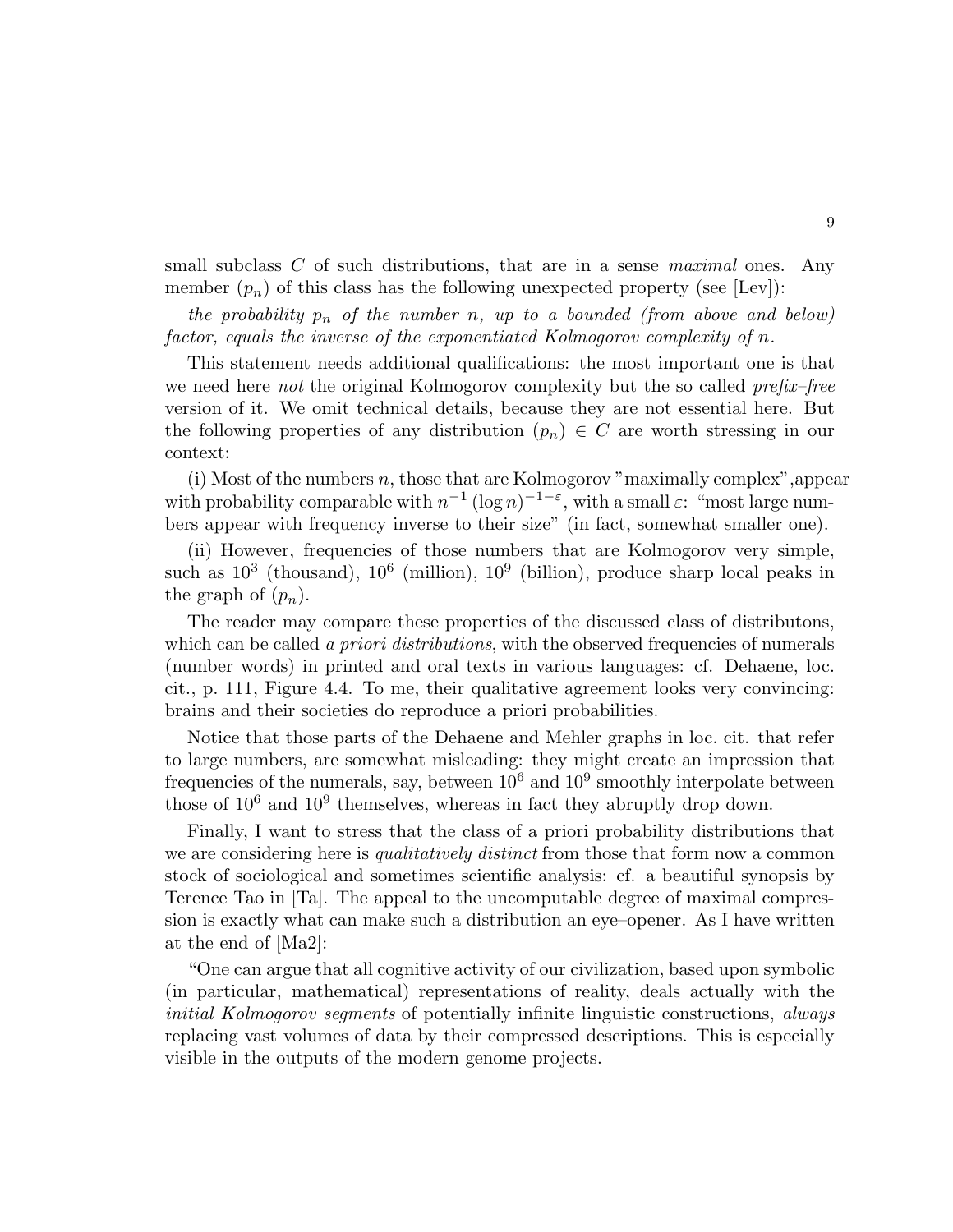small subclass  $C$  of such distributions, that are in a sense *maximal* ones. Any member  $(p_n)$  of this class has the following unexpected property (see [Lev]):

the probability  $p_n$  of the number n, up to a bounded (from above and below) factor, equals the inverse of the exponentiated Kolmogorov complexity of n.

This statement needs additional qualifications: the most important one is that we need here not the original Kolmogorov complexity but the so called prefix–free version of it. We omit technical details, because they are not essential here. But the following properties of any distribution  $(p_n) \in C$  are worth stressing in our context:

(i) Most of the numbers n, those that are Kolmogorov "maximally complex",appear with probability comparable with  $n^{-1} (\log n)^{-1-\epsilon}$ , with a small  $\varepsilon$ : "most large numbers appear with frequency inverse to their size" (in fact, somewhat smaller one).

(ii) However, frequencies of those numbers that are Kolmogorov very simple, such as  $10^3$  (thousand),  $10^6$  (million),  $10^9$  (billion), produce sharp local peaks in the graph of  $(p_n)$ .

The reader may compare these properties of the discussed class of distributons, which can be called a priori distributions, with the observed frequencies of numerals (number words) in printed and oral texts in various languages: cf. Dehaene, loc. cit., p. 111, Figure 4.4. To me, their qualitative agreement looks very convincing: brains and their societies do reproduce a priori probabilities.

Notice that those parts of the Dehaene and Mehler graphs in loc. cit. that refer to large numbers, are somewhat misleading: they might create an impression that frequencies of the numerals, say, between  $10^6$  and  $10^9$  smoothly interpolate between those of  $10^6$  and  $10^9$  themselves, whereas in fact they abruptly drop down.

Finally, I want to stress that the class of a priori probability distributions that we are considering here is *qualitatively distinct* from those that form now a common stock of sociological and sometimes scientific analysis: cf. a beautiful synopsis by Terence Tao in [Ta]. The appeal to the uncomputable degree of maximal compression is exactly what can make such a distribution an eye–opener. As I have written at the end of [Ma2]:

"One can argue that all cognitive activity of our civilization, based upon symbolic (in particular, mathematical) representations of reality, deals actually with the initial Kolmogorov segments of potentially infinite linguistic constructions, always replacing vast volumes of data by their compressed descriptions. This is especially visible in the outputs of the modern genome projects.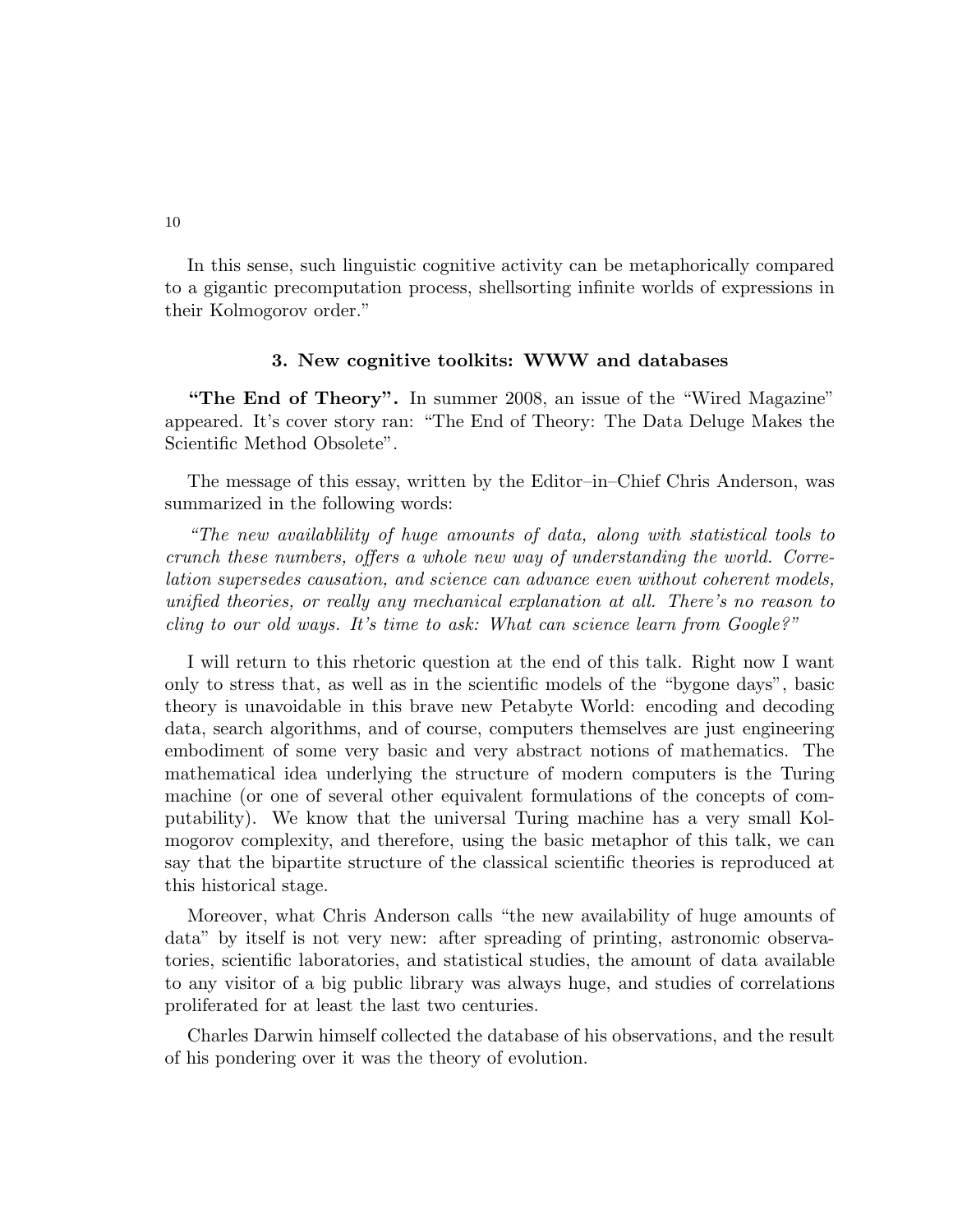In this sense, such linguistic cognitive activity can be metaphorically compared to a gigantic precomputation process, shellsorting infinite worlds of expressions in their Kolmogorov order."

#### 3. New cognitive toolkits: WWW and databases

"The End of Theory". In summer 2008, an issue of the "Wired Magazine" appeared. It's cover story ran: "The End of Theory: The Data Deluge Makes the Scientific Method Obsolete".

The message of this essay, written by the Editor–in–Chief Chris Anderson, was summarized in the following words:

"The new availablility of huge amounts of data, along with statistical tools to crunch these numbers, offers a whole new way of understanding the world. Correlation supersedes causation, and science can advance even without coherent models, unified theories, or really any mechanical explanation at all. There's no reason to cling to our old ways. It's time to ask: What can science learn from Google?"

I will return to this rhetoric question at the end of this talk. Right now I want only to stress that, as well as in the scientific models of the "bygone days", basic theory is unavoidable in this brave new Petabyte World: encoding and decoding data, search algorithms, and of course, computers themselves are just engineering embodiment of some very basic and very abstract notions of mathematics. The mathematical idea underlying the structure of modern computers is the Turing machine (or one of several other equivalent formulations of the concepts of computability). We know that the universal Turing machine has a very small Kolmogorov complexity, and therefore, using the basic metaphor of this talk, we can say that the bipartite structure of the classical scientific theories is reproduced at this historical stage.

Moreover, what Chris Anderson calls "the new availability of huge amounts of data" by itself is not very new: after spreading of printing, astronomic observatories, scientific laboratories, and statistical studies, the amount of data available to any visitor of a big public library was always huge, and studies of correlations proliferated for at least the last two centuries.

Charles Darwin himself collected the database of his observations, and the result of his pondering over it was the theory of evolution.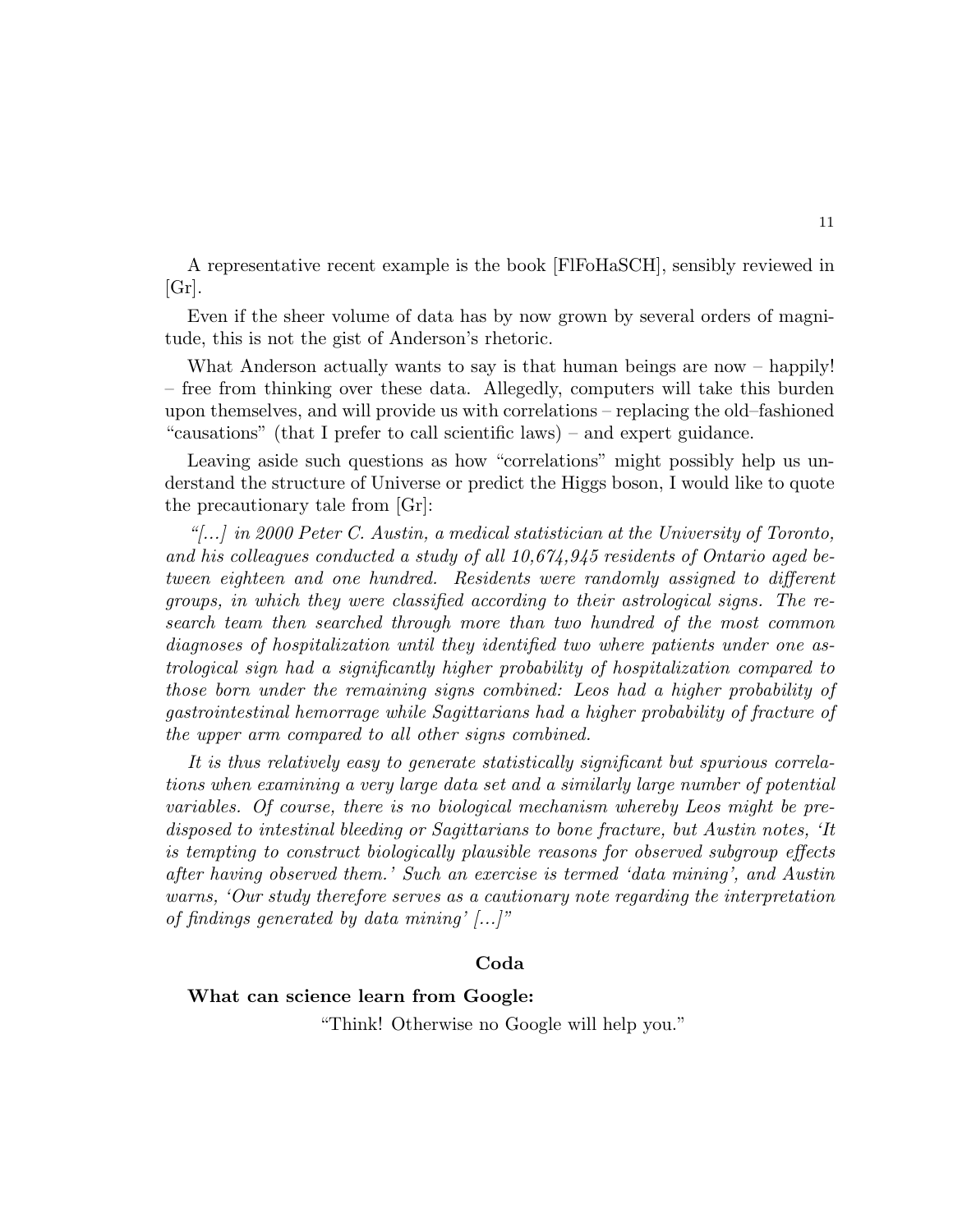A representative recent example is the book [FlFoHaSCH], sensibly reviewed in  $|Gr|$ .

Even if the sheer volume of data has by now grown by several orders of magnitude, this is not the gist of Anderson's rhetoric.

What Anderson actually wants to say is that human beings are now – happily! – free from thinking over these data. Allegedly, computers will take this burden upon themselves, and will provide us with correlations – replacing the old–fashioned "causations" (that I prefer to call scientific laws) – and expert guidance.

Leaving aside such questions as how "correlations" might possibly help us understand the structure of Universe or predict the Higgs boson, I would like to quote the precautionary tale from [Gr]:

" $\ldots$ ) in 2000 Peter C. Austin, a medical statistician at the University of Toronto, and his colleagues conducted a study of all 10,674,945 residents of Ontario aged between eighteen and one hundred. Residents were randomly assigned to different groups, in which they were classified according to their astrological signs. The research team then searched through more than two hundred of the most common diagnoses of hospitalization until they identified two where patients under one astrological sign had a significantly higher probability of hospitalization compared to those born under the remaining signs combined: Leos had a higher probability of gastrointestinal hemorrage while Sagittarians had a higher probability of fracture of the upper arm compared to all other signs combined.

It is thus relatively easy to generate statistically significant but spurious correlations when examining a very large data set and a similarly large number of potential variables. Of course, there is no biological mechanism whereby Leos might be predisposed to intestinal bleeding or Sagittarians to bone fracture, but Austin notes, 'It is tempting to construct biologically plausible reasons for observed subgroup effects after having observed them.' Such an exercise is termed 'data mining', and Austin warns, 'Our study therefore serves as a cautionary note regarding the interpretation of findings generated by data mining'  $\left\lceil \ldots \right\rceil$ "

### Coda

## What can science learn from Google:

"Think! Otherwise no Google will help you."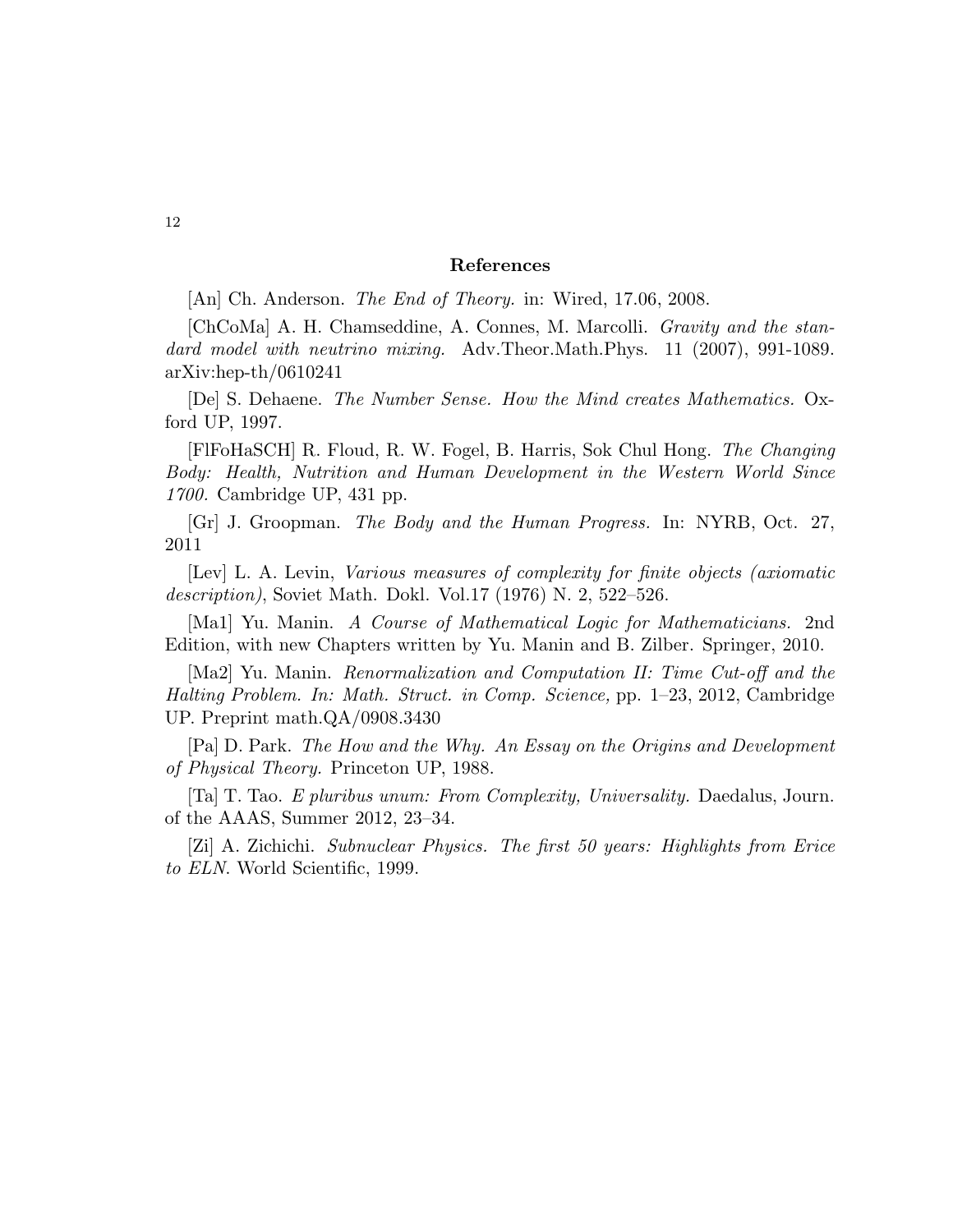#### References

[An] Ch. Anderson. *The End of Theory*. in: Wired, 17.06, 2008.

[ChCoMa] A. H. Chamseddine, A. Connes, M. Marcolli. Gravity and the standard model with neutrino mixing. Adv.Theor.Math.Phys. 11 (2007), 991-1089. arXiv:hep-th/0610241

[De] S. Dehaene. The Number Sense. How the Mind creates Mathematics. Oxford UP, 1997.

[FlFoHaSCH] R. Floud, R. W. Fogel, B. Harris, Sok Chul Hong. The Changing Body: Health, Nutrition and Human Development in the Western World Since 1700. Cambridge UP, 431 pp.

[Gr] J. Groopman. The Body and the Human Progress. In: NYRB, Oct. 27, 2011

[Lev] L. A. Levin, Various measures of complexity for finite objects (axiomatic description), Soviet Math. Dokl. Vol.17 (1976) N. 2, 522–526.

[Ma1] Yu. Manin. A Course of Mathematical Logic for Mathematicians. 2nd Edition, with new Chapters written by Yu. Manin and B. Zilber. Springer, 2010.

[Ma2] Yu. Manin. Renormalization and Computation II: Time Cut-off and the Halting Problem. In: Math. Struct. in Comp. Science, pp. 1–23, 2012, Cambridge UP. Preprint math.QA/0908.3430

[Pa] D. Park. The How and the Why. An Essay on the Origins and Development of Physical Theory. Princeton UP, 1988.

[Ta] T. Tao. E pluribus unum: From Complexity, Universality. Daedalus, Journ. of the AAAS, Summer 2012, 23–34.

[Zi] A. Zichichi. Subnuclear Physics. The first 50 years: Highlights from Erice to ELN. World Scientific, 1999.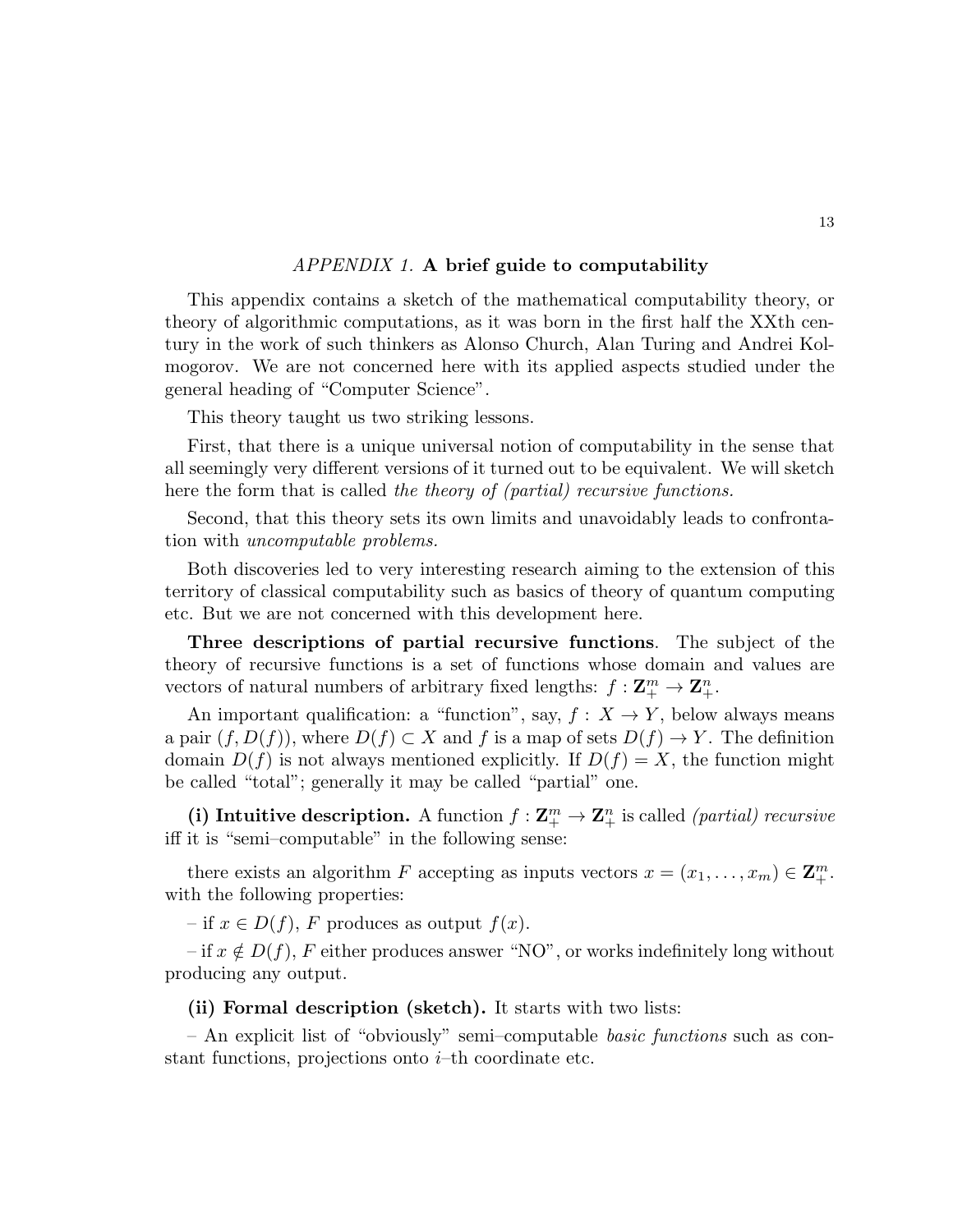#### APPENDIX 1. A brief guide to computability

This appendix contains a sketch of the mathematical computability theory, or theory of algorithmic computations, as it was born in the first half the XXth century in the work of such thinkers as Alonso Church, Alan Turing and Andrei Kolmogorov. We are not concerned here with its applied aspects studied under the general heading of "Computer Science".

This theory taught us two striking lessons.

First, that there is a unique universal notion of computability in the sense that all seemingly very different versions of it turned out to be equivalent. We will sketch here the form that is called the theory of (partial) recursive functions.

Second, that this theory sets its own limits and unavoidably leads to confrontation with uncomputable problems.

Both discoveries led to very interesting research aiming to the extension of this territory of classical computability such as basics of theory of quantum computing etc. But we are not concerned with this development here.

Three descriptions of partial recursive functions. The subject of the theory of recursive functions is a set of functions whose domain and values are vectors of natural numbers of arbitrary fixed lengths:  $f: \mathbf{Z}_{+}^{m} \to \mathbf{Z}_{+}^{n}$ .

An important qualification: a "function", say,  $f: X \to Y$ , below always means a pair  $(f, D(f))$ , where  $D(f) \subset X$  and f is a map of sets  $D(f) \to Y$ . The definition domain  $D(f)$  is not always mentioned explicitly. If  $D(f) = X$ , the function might be called "total"; generally it may be called "partial" one.

(i) Intuitive description. A function  $f: \mathbf{Z}_{+}^{m} \to \mathbf{Z}_{+}^{n}$  is called *(partial) recursive* iff it is "semi–computable" in the following sense:

there exists an algorithm F accepting as inputs vectors  $x = (x_1, \ldots, x_m) \in \mathbf{Z}_+^m$ . with the following properties:

– if  $x \in D(f)$ , F produces as output  $f(x)$ .

– if  $x \notin D(f)$ , F either produces answer "NO", or works indefinitely long without producing any output.

(ii) Formal description (sketch). It starts with two lists:

– An explicit list of "obviously" semi–computable basic functions such as constant functions, projections onto  $i$ –th coordinate etc.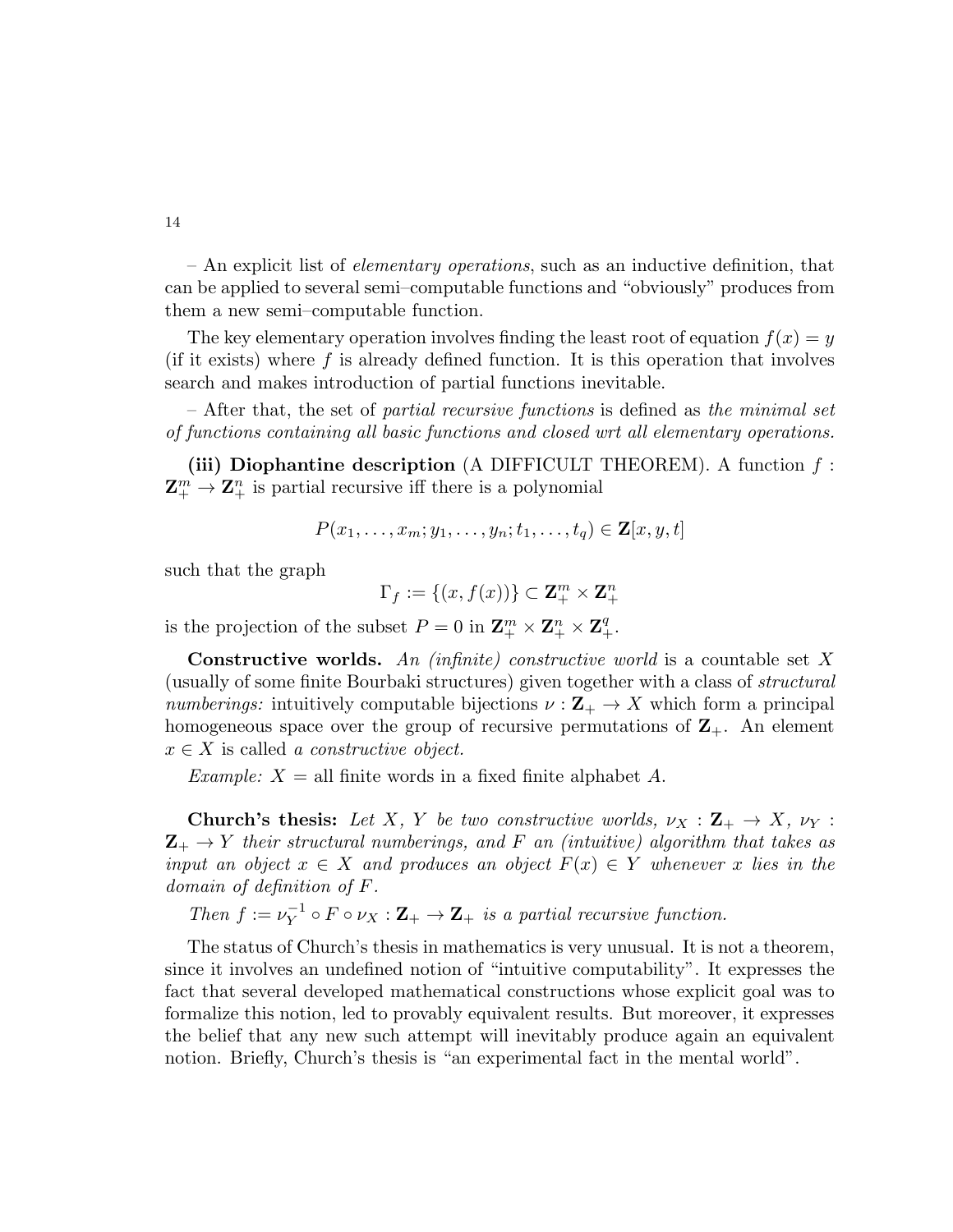$-$  An explicit list of *elementary operations*, such as an inductive definition, that can be applied to several semi–computable functions and "obviously" produces from them a new semi–computable function.

The key elementary operation involves finding the least root of equation  $f(x) = y$ (if it exists) where f is already defined function. It is this operation that involves search and makes introduction of partial functions inevitable.

– After that, the set of partial recursive functions is defined as the minimal set of functions containing all basic functions and closed wrt all elementary operations.

(iii) Diophantine description (A DIFFICULT THEOREM). A function  $f$ :  $\mathbf{Z}_{+}^{m} \to \mathbf{Z}_{+}^{n}$  is partial recursive iff there is a polynomial

$$
P(x_1,\ldots,x_m;y_1,\ldots,y_n;t_1,\ldots,t_q)\in\mathbf{Z}[x,y,t]
$$

such that the graph

$$
\Gamma_f:=\{(x,f(x))\}\subset \mathbf Z_+^m\times \mathbf Z_+^n
$$

is the projection of the subset  $P = 0$  in  $\mathbf{Z}_{+}^{m} \times \mathbf{Z}_{+}^{n} \times \mathbf{Z}_{+}^{q}$ .

**Constructive worlds.** An *(infinite)* constructive world is a countable set X (usually of some finite Bourbaki structures) given together with a class of structural numberings: intuitively computable bijections  $\nu : \mathbf{Z}_{+} \to X$  which form a principal homogeneous space over the group of recursive permutations of  $\mathbb{Z}_+$ . An element  $x \in X$  is called a constructive object.

*Example:*  $X =$  all finite words in a fixed finite alphabet A.

**Church's thesis:** Let X, Y be two constructive worlds,  $\nu_X : \mathbf{Z}_+ \to X$ ,  $\nu_Y :$  $\mathbf{Z}_{+} \rightarrow Y$  their structural numberings, and F an (intuitive) algorithm that takes as input an object  $x \in X$  and produces an object  $F(x) \in Y$  whenever x lies in the domain of definition of F.

Then  $f := \nu_Y^{-1}$  $V_Y^{-1} \circ F \circ \nu_X : \mathbf{Z}_+ \to \mathbf{Z}_+$  is a partial recursive function.

The status of Church's thesis in mathematics is very unusual. It is not a theorem, since it involves an undefined notion of "intuitive computability". It expresses the fact that several developed mathematical constructions whose explicit goal was to formalize this notion, led to provably equivalent results. But moreover, it expresses the belief that any new such attempt will inevitably produce again an equivalent notion. Briefly, Church's thesis is "an experimental fact in the mental world".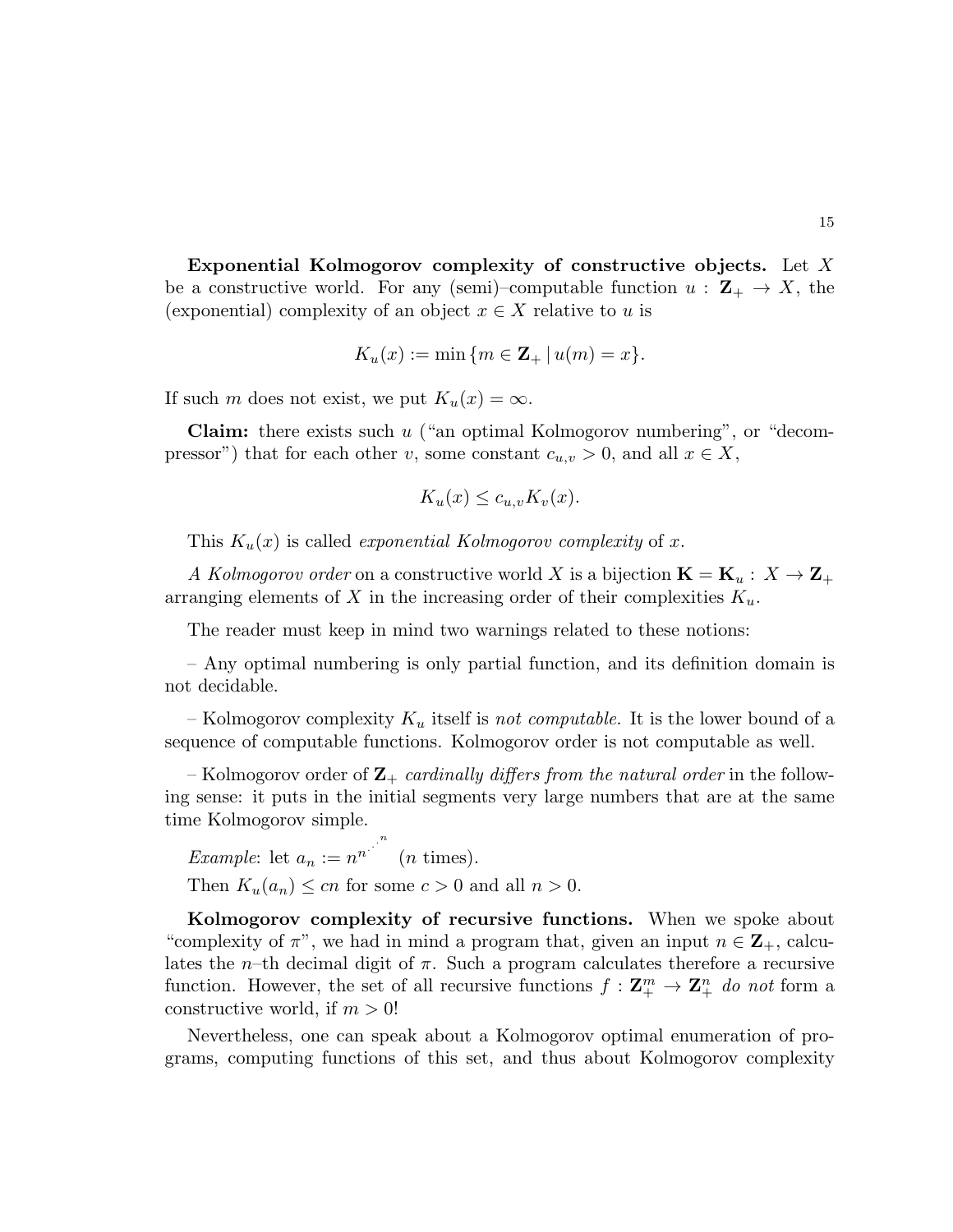Exponential Kolmogorov complexity of constructive objects. Let X be a constructive world. For any (semi)–computable function  $u: \mathbf{Z}_{+} \to X$ , the (exponential) complexity of an object  $x \in X$  relative to u is

$$
K_u(x) := \min \{ m \in \mathbf{Z}_+ \, | \, u(m) = x \}.
$$

If such m does not exist, we put  $K_u(x) = \infty$ .

**Claim:** there exists such  $u$  ("an optimal Kolmogorov numbering", or "decompressor") that for each other v, some constant  $c_{u,v} > 0$ , and all  $x \in X$ ,

$$
K_u(x) \le c_{u,v} K_v(x).
$$

This  $K_u(x)$  is called *exponential Kolmogorov complexity* of x.

A Kolmogorov order on a constructive world X is a bijection  $\mathbf{K} = \mathbf{K}_u : X \to \mathbf{Z}_+$ arranging elements of X in the increasing order of their complexities  $K_u$ .

The reader must keep in mind two warnings related to these notions:

– Any optimal numbering is only partial function, and its definition domain is not decidable.

– Kolmogorov complexity  $K_u$  itself is not computable. It is the lower bound of a sequence of computable functions. Kolmogorov order is not computable as well.

– Kolmogorov order of  $\mathbf{Z}_{+}$  cardinally differs from the natural order in the following sense: it puts in the initial segments very large numbers that are at the same time Kolmogorov simple.

*Example*: let  $a_n := n^{n^{1/n}}$  $(n \times).$ Then  $K_u(a_n) \leq cn$  for some  $c > 0$  and all  $n > 0$ .

Kolmogorov complexity of recursive functions. When we spoke about "complexity of  $\pi$ ", we had in mind a program that, given an input  $n \in \mathbb{Z}_+$ , calculates the *n*–th decimal digit of  $\pi$ . Such a program calculates therefore a recursive function. However, the set of all recursive functions  $f: \mathbf{Z}_{+}^{m} \to \mathbf{Z}_{+}^{n}$  do not form a constructive world, if  $m > 0!$ 

Nevertheless, one can speak about a Kolmogorov optimal enumeration of programs, computing functions of this set, and thus about Kolmogorov complexity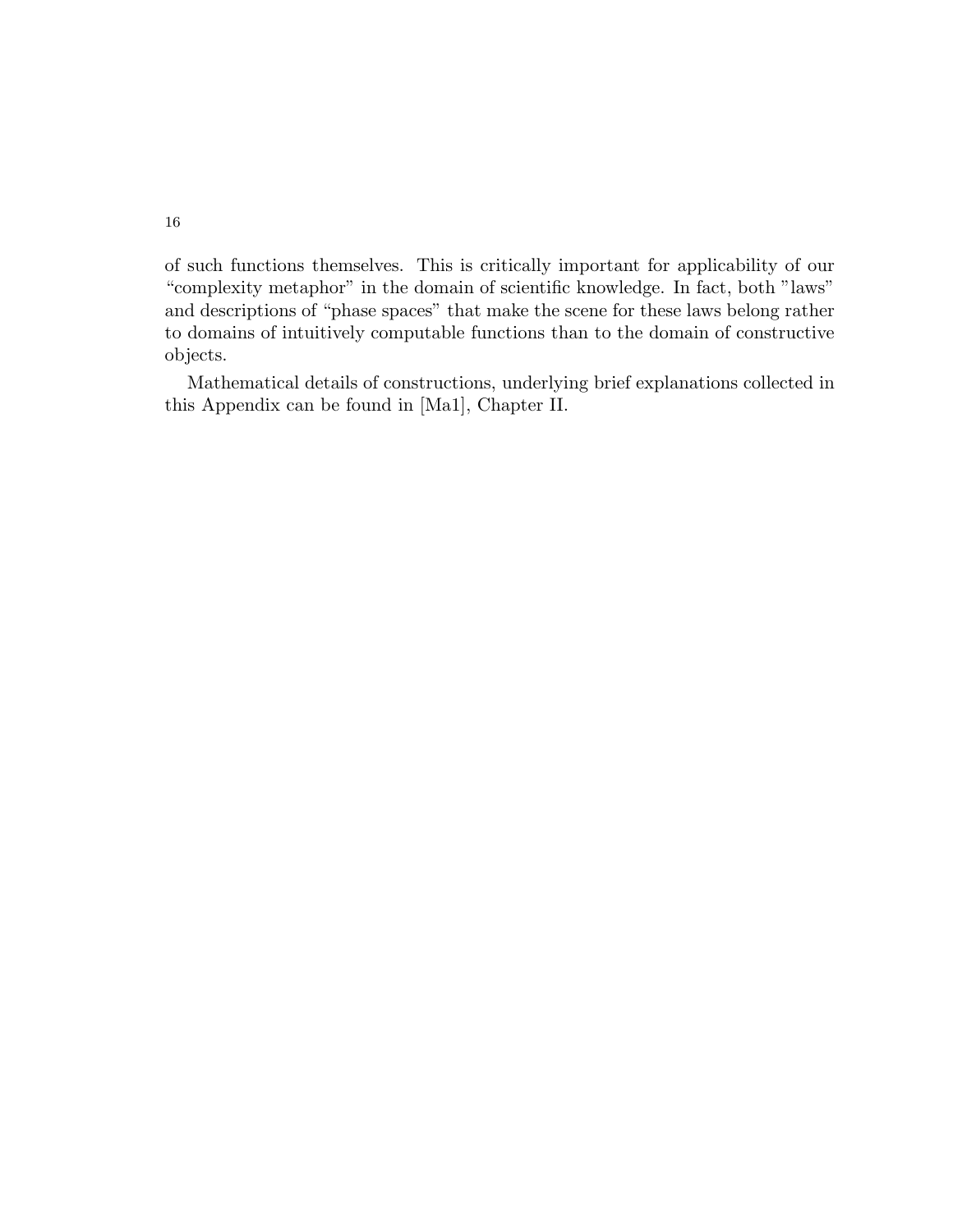of such functions themselves. This is critically important for applicability of our "complexity metaphor" in the domain of scientific knowledge. In fact, both "laws" and descriptions of "phase spaces" that make the scene for these laws belong rather to domains of intuitively computable functions than to the domain of constructive objects.

Mathematical details of constructions, underlying brief explanations collected in this Appendix can be found in [Ma1], Chapter II.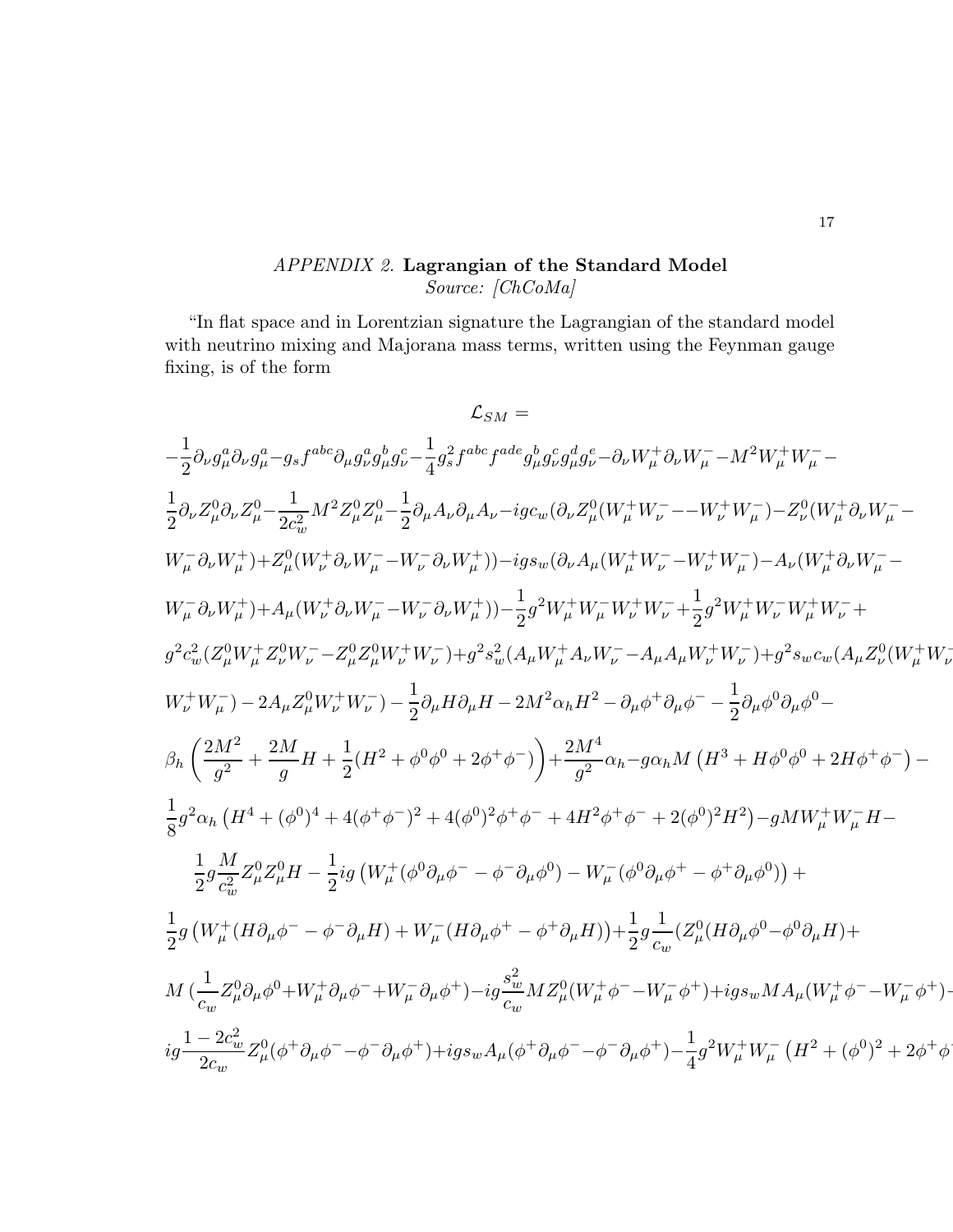# APPENDIX 2. Lagrangian of the Standard Model Source: [ChCoMa]

"In flat space and in Lorentzian signature the Lagrangian of the standard model with neutrino mixing and Majorana mass terms, written using the Feynman gauge fixing, is of the form

$$
\mathcal{L}_{SM} =
$$
\n
$$
-\frac{1}{2}\partial_{\nu}g_{\mu}^{a}\partial_{\nu}g_{\mu}^{a} - g_{s}f^{abc}\partial_{\mu}g_{\nu}^{a}g_{\mu}^{b}g_{c}^{c} - \frac{1}{4}g_{s}^{2}f^{abc}f^{ade}g_{\mu}^{b}g_{\nu}^{c}g_{\mu}^{d}g_{c}^{c} - \partial_{\nu}W_{\mu}^{+}\partial_{\nu}W_{\mu}^{-} - M^{2}W_{\mu}^{+}W_{\mu}^{-} -
$$
\n
$$
\frac{1}{2}\partial_{\nu}Z_{\mu}^{0}\partial_{\nu}Z_{\mu}^{0} - \frac{1}{2c_{w}^{2}}M^{2}Z_{\mu}^{0}Z_{\mu}^{0} - \frac{1}{2}\partial_{\mu}A_{\nu}\partial_{\mu}A_{\nu} - ig_{c_{w}}(\partial_{\nu}Z_{\mu}^{0}(W_{\mu}^{+}W_{\nu}^{-} - - W_{\nu}^{+}W_{\mu}^{-}) - Z_{\nu}^{0}(W_{\mu}^{+}\partial_{\nu}W_{\mu}^{-} - W_{\mu}^{-}\partial_{\nu}W_{\mu}^{+}) + Z_{\mu}^{0}(W_{\nu}^{+}\partial_{\nu}W_{\mu}^{-} - W_{\nu}^{-}\partial_{\nu}W_{\mu}^{+})) - ig_{s_{w}}(\partial_{\nu}A_{\mu}(W_{\mu}^{+}W_{\nu}^{-} - W_{\nu}^{+}W_{\mu}^{-}) - A_{\nu}(W_{\mu}^{+}\partial_{\nu}W_{\mu}^{-} - W_{\mu}^{-}\partial_{\mu}W_{\mu}^{+} + \frac{1}{2}g_{c_{w}}W_{\mu}^{+}W_{\nu}^{-} + W_{\mu}^{-}\partial_{\nu}W_{\mu}^{+} + g_{c_{w}}W_{\mu}^{+}W_{\nu}^{-} + g_{c_{w}}W_{\mu}^{+}W_{\nu}^{-} - Z_{\mu}^{0}Z_{\mu}^{0}W_{\nu}^{+}W_{\nu}^{-}) + g_{c_{w}}(\partial_{\mu}A_{\mu}W_{\mu}^{+}W_{\nu}^{-} + \frac{1}{2}g_{c_{w}}W_{\mu}^{+}W_{\nu}^{-} + g_{c_{w}}W_{\mu}^{+}W_{\nu}^{-} - g_{c_{w
$$

−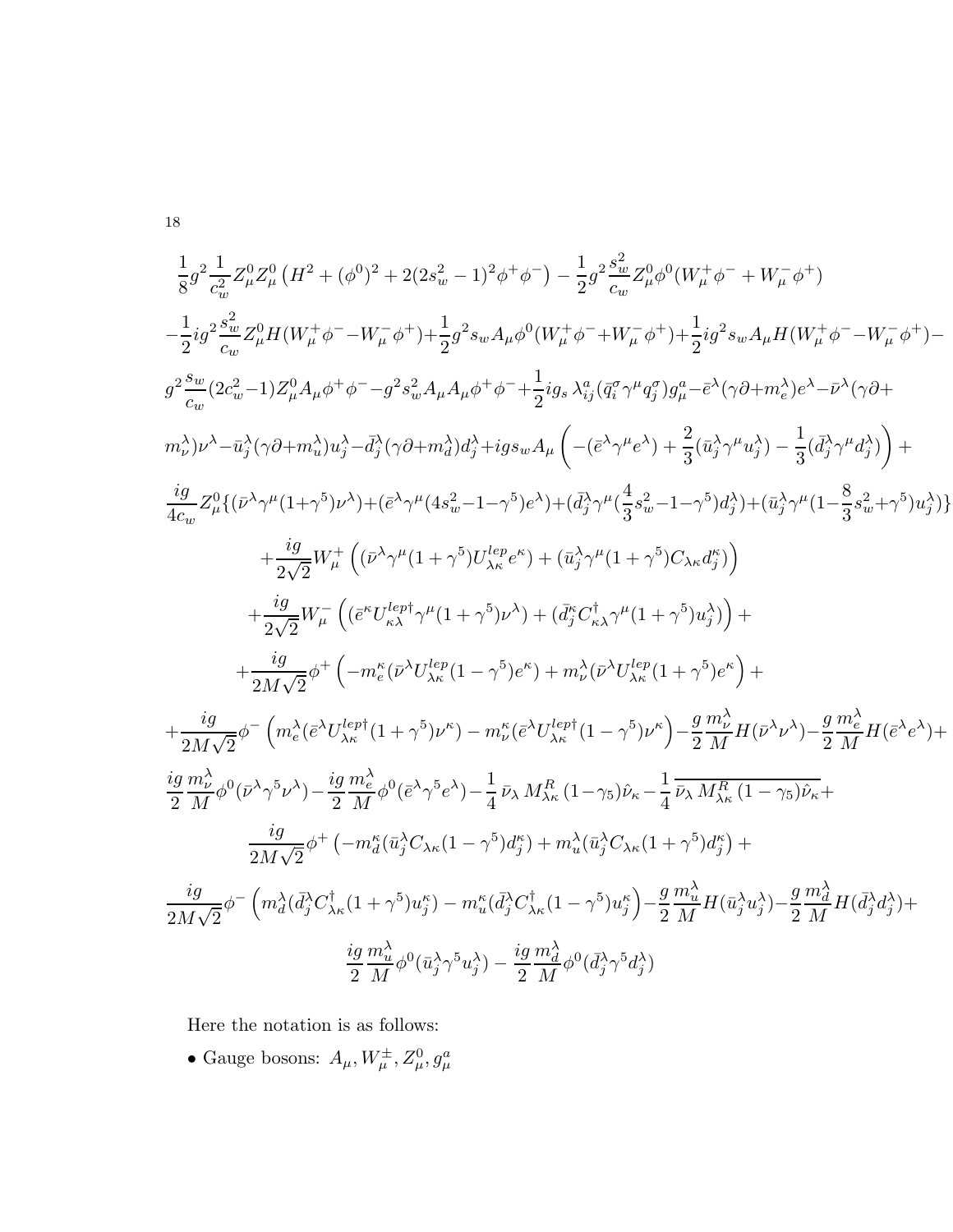$$
\frac{1}{8}g^{2}\frac{1}{c_{w}^{2}}Z_{\mu}^{0} (H^{2} + (\phi^{0})^{2} + 2(2s_{w}^{2} - 1)^{2}\phi^{+}\phi^{-}) - \frac{1}{2}g^{2}\frac{s_{w}^{2}}{c_{w}}Z_{\mu}^{0}\phi^{0}(W_{\mu}^{+}\phi^{-} + W_{\mu}^{-}\phi^{+})
$$
\n
$$
-\frac{1}{2}ig^{2}\frac{s_{w}^{2}}{c_{w}}Z_{\mu}^{0}H(W_{\mu}^{+}\phi^{-} - W_{\mu}^{-}\phi^{+}) + \frac{1}{2}g^{2}s_{w}A_{\mu}\phi^{0}(W_{\mu}^{+}\phi^{-} + W_{\mu}^{-}\phi^{+}) + \frac{1}{2}ig^{2}s_{w}A_{\mu}H(W_{\mu}^{+}\phi^{-} - W_{\mu}^{-}\phi^{+}) -
$$
\n
$$
g^{2}\frac{s_{w}}{c_{w}}(2c_{w}^{2} - 1)Z_{\mu}^{0}A_{\mu}\phi^{+}\phi^{-} - g^{2}s_{w}^{2}A_{\mu}A_{\mu}\phi^{+}\phi^{-} + \frac{1}{2}ig_{s}\lambda_{ij}^{\alpha}(\tilde{q}_{i}^{\sigma}\gamma^{\mu}\tilde{q}_{j}^{\sigma})g_{\mu}^{a} - \tilde{e}^{\lambda}(\gamma\partial + m_{e}^{\lambda})e^{\lambda} - \bar{\nu}^{\lambda}(\gamma\partial +
$$
\n
$$
m_{\nu}^{\lambda})\nu^{\lambda} - \bar{u}_{j}^{\lambda}(\gamma\partial + m_{w}^{\lambda})u_{j}^{\lambda} - \bar{d}_{j}^{\lambda}(\gamma\partial + m_{d}^{\lambda})d_{j}^{\lambda} + ig_{s}{}_{w}A_{\mu}\left(- (\tilde{e}^{\lambda}\gamma^{\mu}e^{\lambda}) + \frac{2}{3}(\bar{u}_{j}^{\lambda}\gamma^{\mu}u_{j}^{\lambda}) - \frac{1}{3}(\bar{d}_{j}^{\lambda}\gamma^{\mu}d_{j}^{\lambda})\right) +
$$
\n
$$
\frac{ig}{4c_{w}}Z_{\mu}^{0}\{(\bar{\nu}^{\lambda}\gamma^{\mu}(1+\gamma^{5})\nu^{\lambda}) + (\tilde{e}^{\lambda}\gamma^{\mu}(4s_{w}^{2} - 1-\gamma^{5})e^{\lambda}) +
$$

Here the notation is as follows:

• Gauge bosons:  $A_\mu, W^\pm_\mu, Z^0_\mu, g^a_\mu$